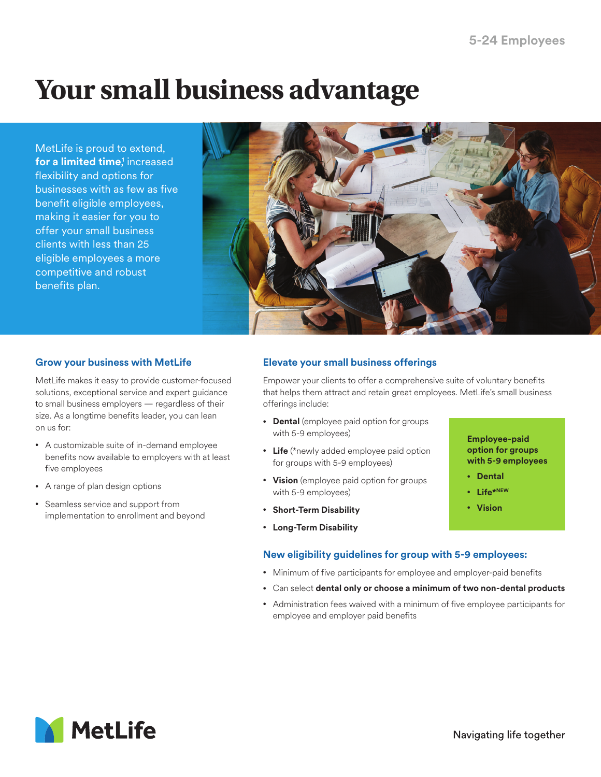# **Your small business advantage**

MetLife is proud to extend, **for a limited time**,<sup>†</sup> increased flexibility and options for businesses with as few as five benefit eligible employees, making it easier for you to offer your small business clients with less than 25 eligible employees a more competitive and robust benefits plan.



## **Grow your business with MetLife**

MetLife makes it easy to provide customer-focused solutions, exceptional service and expert guidance to small business employers — regardless of their size. As a longtime benefits leader, you can lean on us for:

- A customizable suite of in-demand employee benefits now available to employers with at least five employees
- A range of plan design options
- Seamless service and support from implementation to enrollment and beyond

# **Elevate your small business offerings**

Empower your clients to offer a comprehensive suite of voluntary benefits that helps them attract and retain great employees. MetLife's small business offerings include:

- **Dental** (employee paid option for groups with 5-9 employees)
- **Life** (\*newly added employee paid option for groups with 5-9 employees)
- **Vision** (employee paid option for groups with 5-9 employees)
- **Short-Term Disability**
- **Long-Term Disability**

# **New eligibility guidelines for group with 5-9 employees:**

- Minimum of five participants for employee and employer-paid benefits
- Can select **dental only or choose a minimum of two non-dental products**
- Administration fees waived with a minimum of five employee participants for employee and employer paid benefits



**Employee-paid option for groups with 5-9 employees**

• **Dental** • **Life\*NEW** • **Vision**